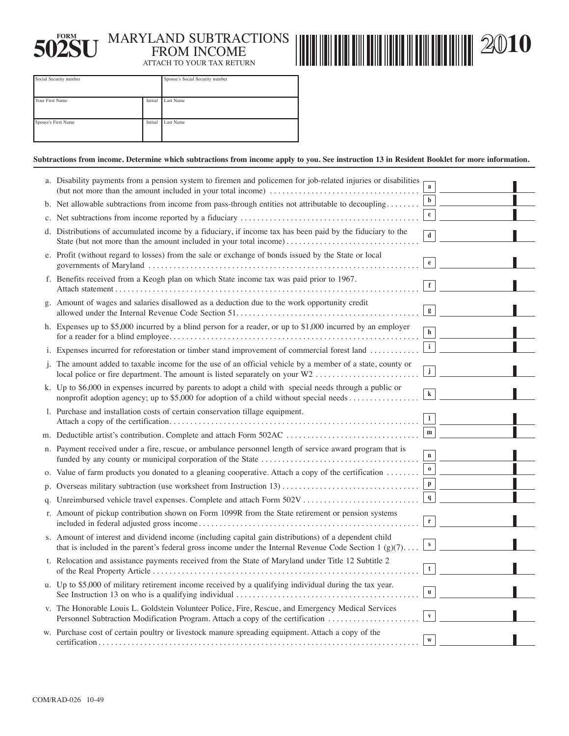

## **FORM** MARYLAND SUBTRACTIONS **502SU** FROM INCOME ATTACH TO YOUR TAX RETURN



**2010** 

| Social Security number |         | Spouse's Social Security number |  |
|------------------------|---------|---------------------------------|--|
| Your First Name        | Initial | Last Name                       |  |
| Spouse's First Name    | Initial | Last Name                       |  |

## **Subtractions from income. Determine which subtractions from income apply to you. See instruction 13 in Resident Booklet for more information.**

| a. Disability payments from a pension system to firemen and policemen for job-related injuries or disabilities                                                                                                   | a            |  |
|------------------------------------------------------------------------------------------------------------------------------------------------------------------------------------------------------------------|--------------|--|
| b. Net allowable subtractions from income from pass-through entities not attributable to decoupling                                                                                                              |              |  |
|                                                                                                                                                                                                                  | $\mathbf{c}$ |  |
| d. Distributions of accumulated income by a fiduciary, if income tax has been paid by the fiduciary to the<br>State (but not more than the amount included in your total income)                                 | $\mathbf d$  |  |
| e. Profit (without regard to losses) from the sale or exchange of bonds issued by the State or local                                                                                                             | $\mathbf{e}$ |  |
| f. Benefits received from a Keogh plan on which State income tax was paid prior to 1967.                                                                                                                         |              |  |
| g. Amount of wages and salaries disallowed as a deduction due to the work opportunity credit                                                                                                                     | g            |  |
| h. Expenses up to \$5,000 incurred by a blind person for a reader, or up to \$1,000 incurred by an employer                                                                                                      | $\mathbf h$  |  |
| i. Expenses incurred for reforestation or timber stand improvement of commercial forest land                                                                                                                     | $\mathbf{i}$ |  |
| j. The amount added to taxable income for the use of an official vehicle by a member of a state, county or<br>local police or fire department. The amount is listed separately on your W2                        | $\mathbf j$  |  |
| k. Up to \$6,000 in expenses incurred by parents to adopt a child with special needs through a public or<br>nonprofit adoption agency; up to \$5,000 for adoption of a child without special needs               | k            |  |
| 1. Purchase and installation costs of certain conservation tillage equipment.                                                                                                                                    |              |  |
|                                                                                                                                                                                                                  | m            |  |
| n. Payment received under a fire, rescue, or ambulance personnel length of service award program that is                                                                                                         | $\mathbf{n}$ |  |
| o. Value of farm products you donated to a gleaning cooperative. Attach a copy of the certification $\dots \dots$                                                                                                | $\bf{0}$     |  |
| p. Overseas military subtraction (use worksheet from Instruction 13)                                                                                                                                             | p            |  |
| q. Unreimbursed vehicle travel expenses. Complete and attach Form 502V                                                                                                                                           | q            |  |
| r. Amount of pickup contribution shown on Form 1099R from the State retirement or pension systems                                                                                                                |              |  |
| s. Amount of interest and dividend income (including capital gain distributions) of a dependent child<br>that is included in the parent's federal gross income under the Internal Revenue Code Section $1(g)(7)$ | ${\bf S}$    |  |
| t. Relocation and assistance payments received from the State of Maryland under Title 12 Subtitle 2                                                                                                              |              |  |
| u. Up to \$5,000 of military retirement income received by a qualifying individual during the tax year.                                                                                                          |              |  |
| v. The Honorable Louis L. Goldstein Volunteer Police, Fire, Rescue, and Emergency Medical Services<br>Personnel Subtraction Modification Program. Attach a copy of the certification                             |              |  |
| w. Purchase cost of certain poultry or livestock manure spreading equipment. Attach a copy of the                                                                                                                |              |  |
|                                                                                                                                                                                                                  |              |  |